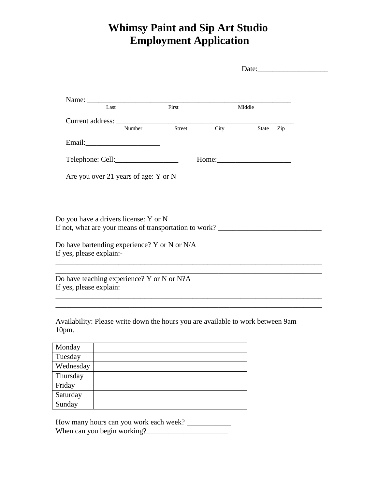## **Whimsy Paint and Sip Art Studio Employment Application**

|                          |                                                                                   |        | Date: $\frac{1}{2}$ Date: |                                                                                                                                                                                                                               |  |
|--------------------------|-----------------------------------------------------------------------------------|--------|---------------------------|-------------------------------------------------------------------------------------------------------------------------------------------------------------------------------------------------------------------------------|--|
|                          |                                                                                   |        |                           |                                                                                                                                                                                                                               |  |
|                          |                                                                                   |        |                           |                                                                                                                                                                                                                               |  |
|                          | Last                                                                              | First  |                           | Middle                                                                                                                                                                                                                        |  |
|                          |                                                                                   |        |                           |                                                                                                                                                                                                                               |  |
|                          | Number                                                                            | Street | City                      | State Zip                                                                                                                                                                                                                     |  |
|                          |                                                                                   |        |                           |                                                                                                                                                                                                                               |  |
|                          |                                                                                   |        |                           |                                                                                                                                                                                                                               |  |
|                          | Are you over 21 years of age: Y or N                                              |        |                           |                                                                                                                                                                                                                               |  |
|                          |                                                                                   |        |                           |                                                                                                                                                                                                                               |  |
|                          |                                                                                   |        |                           |                                                                                                                                                                                                                               |  |
|                          |                                                                                   |        |                           |                                                                                                                                                                                                                               |  |
|                          | Do you have a drivers license: Y or N                                             |        |                           |                                                                                                                                                                                                                               |  |
|                          |                                                                                   |        |                           |                                                                                                                                                                                                                               |  |
|                          |                                                                                   |        |                           |                                                                                                                                                                                                                               |  |
|                          | Do have bartending experience? Y or N or N/A                                      |        |                           |                                                                                                                                                                                                                               |  |
| If yes, please explain:- | ,我们也不会有什么。""我们的人,我们也不会有什么?""我们的人,我们也不会有什么?""我们的人,我们的人,我们的人,我们的人,我们的人,我们的人,我们的人,我  |        |                           |                                                                                                                                                                                                                               |  |
|                          |                                                                                   |        |                           | the control of the control of the control of the control of the control of the control of the control of the control of the control of the control of the control of the control of the control of the control of the control |  |
|                          | Do have teaching experience? Y or N or N?A                                        |        |                           |                                                                                                                                                                                                                               |  |
| If yes, please explain:  |                                                                                   |        |                           |                                                                                                                                                                                                                               |  |
|                          |                                                                                   |        |                           |                                                                                                                                                                                                                               |  |
|                          |                                                                                   |        |                           |                                                                                                                                                                                                                               |  |
|                          | Availability: Please write down the hours you are available to work between 9am - |        |                           |                                                                                                                                                                                                                               |  |
| $10pm$ .                 |                                                                                   |        |                           |                                                                                                                                                                                                                               |  |
|                          |                                                                                   |        |                           |                                                                                                                                                                                                                               |  |
| Monday                   |                                                                                   |        |                           |                                                                                                                                                                                                                               |  |
| Tuesday                  |                                                                                   |        |                           |                                                                                                                                                                                                                               |  |
| Wednesday                |                                                                                   |        |                           |                                                                                                                                                                                                                               |  |
| Thursday                 |                                                                                   |        |                           |                                                                                                                                                                                                                               |  |
| Friday                   |                                                                                   |        |                           |                                                                                                                                                                                                                               |  |
| Saturday                 |                                                                                   |        |                           |                                                                                                                                                                                                                               |  |

How many hours can you work each week? \_\_\_\_\_\_\_\_\_\_\_\_ When can you begin working?\_\_\_\_\_\_\_\_\_\_\_\_\_\_\_\_\_\_\_\_\_\_

Sunday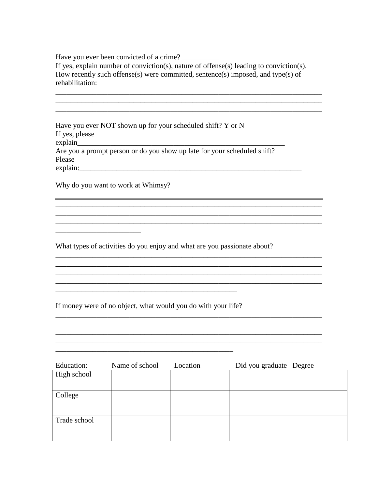Have you ever been convicted of a crime?

If yes, explain number of conviction(s), nature of offense(s) leading to conviction(s). How recently such offense(s) were committed, sentence(s) imposed, and type(s) of rehabilitation:

Have you ever NOT shown up for your scheduled shift? Y or N If yes, please explain Are you a prompt person or do you show up late for your scheduled shift? Please explain:

Why do you want to work at Whimsy?

What types of activities do you enjoy and what are you passionate about?

<u> 1989 - Johann Stoff, amerikansk politiker (d. 1989)</u>

<u> 1990 - Johann Barbara, martin da basar da basar da basar da basar da basar da basar da basar da basar da basa</u>

If money were of no object, what would you do with your life?

| Education:   | Name of school | Location | Did you graduate Degree |  |
|--------------|----------------|----------|-------------------------|--|
| High school  |                |          |                         |  |
|              |                |          |                         |  |
| College      |                |          |                         |  |
|              |                |          |                         |  |
|              |                |          |                         |  |
| Trade school |                |          |                         |  |
|              |                |          |                         |  |
|              |                |          |                         |  |